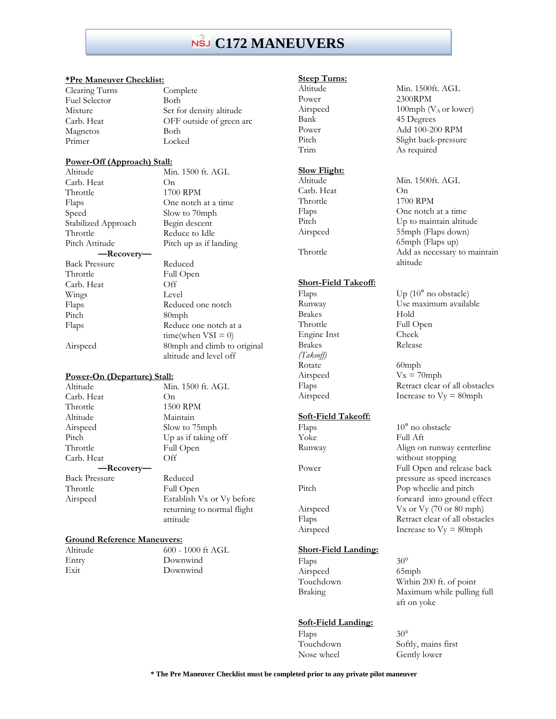# **C172 MANEUVERS**

#### **\*Pre Maneuver Checklist:**

Fuel Selector Both Magnetos Both Primer Locked

Clearing Turns Complete Mixture Set for density altitude Carb. Heat OFF outside of green arc

#### **Power-Off (Approach) Stall:**

| Altitude             | Min. 1500 ft. AGL           |
|----------------------|-----------------------------|
| Carb. Heat           | O <sub>n</sub>              |
| Throttle             | 1700 RPM                    |
| Flaps                | One notch at a time         |
| Speed                | Slow to 70mph               |
| Stabilized Approach  | Begin descent               |
| Throttle             | Reduce to Idle              |
| Pitch Attitude       | Pitch up as if landing      |
| —Recovery—           |                             |
| <b>Back Pressure</b> | Reduced                     |
| Throttle             | Full Open                   |
| Carb. Heat           | Off                         |
| Wings                | Level                       |
| Flaps                | Reduced one notch           |
| Pitch                | $80$ mph                    |
| Flaps                | Reduce one notch at a       |
|                      | time(when $VSI = 0$ )       |
| Airspeed             | 80mph and climb to original |

#### **Power-On (Departure) Stall:**

Altitude Min. 1500 ft. AGL Carb. Heat On Throttle 1500 RPM Altitude Maintain Airspeed Slow to 75mph Pitch Up as if taking off Throttle Full Open Carb. Heat Off **—Recovery—** Back Pressure Reduced Throttle Full Open Airspeed Establish Vx or Vy before

returning to normal flight

altitude and level off

### **Ground Reference Maneuvers:**

Altitude 600 - 1000 ft AGL Entry Downwind Exit Downwind

attitude

#### **Steep Turns:**

# **Slow Flight:**

Carb. Heat On

#### **Short-Field Takeoff:**

Brakes Hold Throttle Full Open<br>
Engine Inst Check Engine Inst Brakes Release *(Takeoff)* Rotate 60mph

#### **Soft-Field Takeoff:**

Yoke Full Aft

### **Short-Field Landing:**

Flaps 30°<br>Airspeed 65mph Airspeed Touchdown Within 200 ft. of point Braking Maximum while pulling full

#### **Soft-Field Landing:**

Flaps 30°<br>Touchdown Soft Softly, mains first Nose wheel Gently lower

Altitude Min. 1500ft. AGL Power 2300RPM Airspeed  $100 \text{ mph} (V_A \text{ or lower})$ Bank 45 Degrees Power Add 100-200 RPM<br>Pitch Slight back-pressure Pitch Slight back-pressure<br>Trim As required As required

Altitude Min. 1500ft. AGL Throttle 1700 RPM Flaps One notch at a time Pitch Up to maintain altitude Airspeed 55mph (Flaps down) 65mph (Flaps up) Throttle Add as necessary to maintain altitude

Flaps Up (10° no obstacle) Runway Use maximum available

Airspeed  $Vx = 70$ mph Flaps Retract clear of all obstacles Airspeed Increase to Vy = 80mph

Flaps 10° no obstacle Runway Align on runway centerline without stopping Power Full Open and release back pressure as speed increases Pitch Pop wheelie and pitch forward into ground effect Airspeed Vx or Vy (70 or 80 mph) Flaps Retract clear of all obstacles Airspeed Increase to Vy = 80mph

aft on yoke

**\* The Pre Maneuver Checklist must be completed prior to any private pilot maneuver**